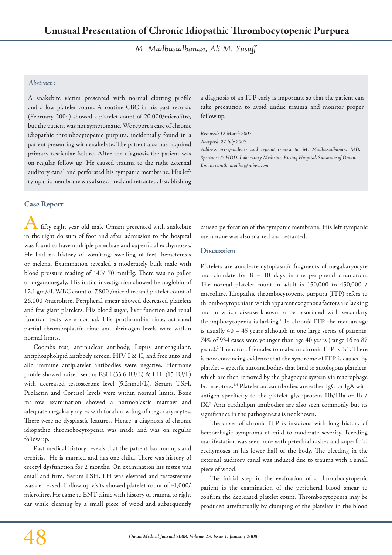*M. Madhusudhanan, Ali M. Yusuff*

## *Abstract :*

A snakebite victim presented with normal clotting profile and a low platelet count. A routine CBC in his past records (February 2004) showed a platelet count of 20,000/microlitre, but the patient was not symptomatic. We report a case of chronic idiopathic thrombocytopenic purpura, incidentally found in a patient presenting with snakebite. The patient also has acquired primary testicular failure. After the diagnosis the patient was on regular follow up. He caused trauma to the right external auditory canal and perforated his tympanic membrane. His left tympanic membrane was also scarred and retracted. Establishing

**Case Report**

fifty eight year old male Omani presented with snakebite in the right dorsum of foot and after admission to the hospital was found to have multiple petechiae and superficial ecchymoses. He had no history of vomiting, swelling of feet, hemetemsis or melena. Examination revealed a moderately built male with blood pressure reading of 140/ 70 mmHg. There was no pallor or organomegaly. His initial investigation showed hemoglobin of 12.1 gm/dl, WBC count of 7,800 /microlitre and platelet count of 26,000 /microlitre. Peripheral smear showed decreased platelets and few giant platelets. His blood sugar, liver function and renal function tests were normal. His prothrombin time, activated partial thromboplastin time and fibrinogen levels were within normal limits.

Coombs test, antinuclear antibody, Lupus anticoagulant, antiphospholipid antibody screen, HIV I & II, and free auto and allo immune antiplatelet antibodies were negative. Hormone profile showed raised serum FSH (33.6 IU/L) & LH (15 IU/L) with decreased testosterone level (5.2nmol/L). Serum TSH, Prolactin and Cortisol levels were within normal limits. Bone marrow examination showed a normoblastic marrow and adequate megakaryocytes with focal crowding of megakaryocytes. There were no dysplastic features. Hence, a diagnosis of chronic idiopathic thromobocytopenia was made and was on regular follow up.

Past medical history reveals that the patient had mumps and orchitis. He is married and has one child. There was history of erectyl dysfunction for 2 months. On examination his testes was small and firm. Serum FSH, LH was elevated and testosterone was decreased. Follow up visits showed platelet count of 41,000/ microlitre. He came to ENT clinic with history of trauma to right ear while cleaning by a small piece of wood and subsequently a diagnosis of an ITP early is important so that the patient can take precaution to avoid undue trauma and monitor proper follow up.

*Received: 12 March 2007*

*Accepted: 27 July 2007* 

*Address correspondence and reprint request to: M. Madhusudhanan, MD, Specialist & HOD. Laboratory Medicine, Rustaq Hospital, Sultanate of Oman. Email: vanithamadhu@yahoo.com*

caused perforation of the tympanic membrane. His left tympanic membrane was also scarred and retracted.

## **Discussion**

Platelets are anucleate cytoplasmic fragments of megakaryocyte and circulate for 8 – 10 days in the peripheral circulation. The normal platelet count in adult is 150,000 to 450,000 / microlitre. Idiopathic thrombocytopenic purpura (ITP) refers to thrombocytopenia in which apparent exogenous factors are lacking and in which disease known to be associated with secondary thrompbocytopenia is lacking.<sup>1</sup> In chronic ITP the median age is usually 40 – 45 years although in one large series of patients, 74% of 934 cases were younger than age 40 years (range 16 to 87 years).2 The ratio of females to males in chronic ITP is 3:1. There is now convincing evidence that the syndrome of ITP is caused by platelet – specific autoantibodies that bind to autologous platelets, which are then removed by the phagocyte system via macrophage Fc receptors.3,4 Platelet autoantibodies are either IgG or IgA with antigen specificity to the platelet glycoprotein IIb/IIIa or Ib / IX.<sup>5</sup> Anti cardiolipin antibodies are also seen commonly but its significance in the pathogenesis is not known.

The onset of chronic ITP is insidious with long history of hemorrhagic symptoms of mild to moderate severity. Bleeding manifestation was seen once with petechial rashes and superficial ecchymoses in his lower half of the body. The bleeding in the external auditory canal was induced due to trauma with a small piece of wood.

The initial step in the evaluation of a thrombocytopenic patient is the examination of the peripheral blood smear to confirm the decreased platelet count. Thrombocytopenia may be produced artefactually by clumping of the platelets in the blood